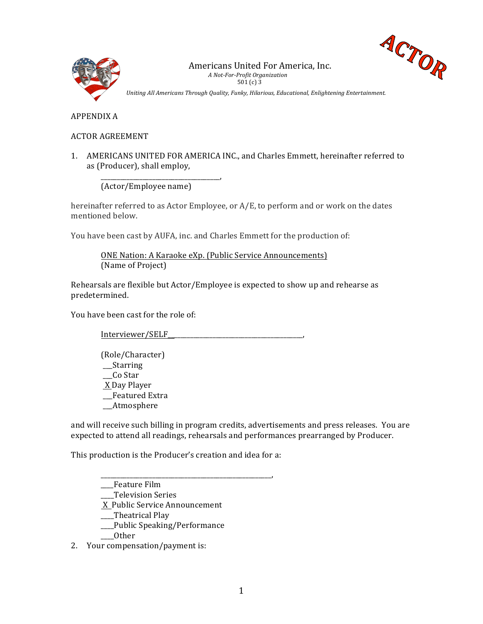



Uniting All Americans Through Quality, Funky, Hilarious, Educational, Enlightening Entertainment.

APPENDIX A

## ACTOR AGREEMENT

1. AMERICANS UNITED FOR AMERICA INC., and Charles Emmett, hereinafter referred to as (Producer), shall employ,

(Actor/Employee name)

\_\_\_\_\_\_\_\_\_\_\_\_\_\_\_\_\_\_\_\_\_\_\_\_\_\_\_\_\_\_\_\_\_\_\_\_\_,

hereinafter referred to as Actor Employee, or  $A/E$ , to perform and or work on the dates mentioned below.

You have been cast by AUFA, inc. and Charles Emmett for the production of:

ONE Nation: A Karaoke eXp. (Public Service Announcements) (Name of Project)

Rehearsals are flexible but  $Action/Employee$  is expected to show up and rehearse as predetermined.

You have been cast for the role of:

Interviewer/SELF\_\_\_\_\_\_\_\_\_\_\_\_\_\_\_\_\_\_\_\_\_\_\_\_\_\_\_\_\_\_\_\_\_\_\_\_\_\_\_\_\_\_,

(Role/Character) \_\_\_Starring Co Star X Day Player \_\_\_Featured Extra \_\_\_Atmosphere

and will receive such billing in program credits, advertisements and press releases. You are expected to attend all readings, rehearsals and performances prearranged by Producer.

This production is the Producer's creation and idea for a:

\_\_\_\_\_\_\_\_\_\_\_\_\_\_\_\_\_\_\_\_\_\_\_\_\_\_\_\_\_\_\_\_\_\_\_\_\_\_\_\_\_\_\_\_\_\_\_\_\_\_\_\_\_, \_*\_\_\_*Feature Film

\_\_\_\_Television Series

X Public Service Announcement

\_\_Theatrical Play

\_\_\_\_Public Speaking/Performance

\_\_\_\_Other

2. Your compensation/payment is: